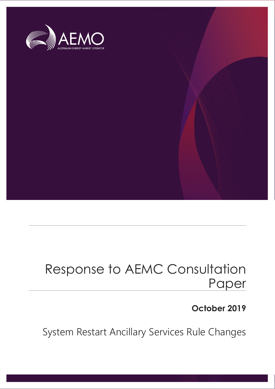

# Response to AEMC Consultation Paper

#### **October 2019**

System Restart Ancillary Services Rule Changes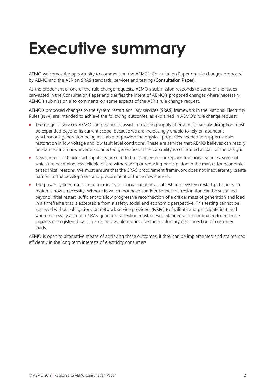# <span id="page-1-0"></span>**Executive summary**

AEMO welcomes the opportunity to comment on the AEMC's Consultation Paper on rule changes proposed by AEMO and the AER on SRAS standards, services and testing (Consultation Paper).

As the proponent of one of the rule change requests, AEMO's submission responds to some of the issues canvassed in the Consultation Paper and clarifies the intent of AEMO's proposed changes where necessary. AEMO's submission also comments on some aspects of the AER's rule change request.

AEMO's proposed changes to the system restart ancillary services (SRAS) framework in the National Electricity Rules (NER) are intended to achieve the following outcomes, as explained in AEMO's rule change request:

- The range of services AEMO can procure to assist in restoring supply after a major supply disruption must be expanded beyond its current scope, because we are increasingly unable to rely on abundant synchronous generation being available to provide the physical properties needed to support stable restoration in low voltage and low fault level conditions. These are services that AEMO believes can readily be sourced from new inverter-connected generation, if the capability is considered as part of the design.
- New sources of black start capability are needed to supplement or replace traditional sources, some of which are becoming less reliable or are withdrawing or reducing participation in the market for economic or technical reasons. We must ensure that the SRAS procurement framework does not inadvertently create barriers to the development and procurement of those new sources.
- The power system transformation means that occasional physical testing of system restart paths in each region is now a necessity. Without it, we cannot have confidence that the restoration can be sustained beyond initial restart, sufficient to allow progressive reconnection of a critical mass of generation and load in a timeframe that is acceptable from a safety, social and economic perspective. This testing cannot be achieved without obligations on network service providers (NSPs) to facilitate and participate in it, and where necessary also non-SRAS generators. Testing must be well-planned and coordinated to minimise impacts on registered participants, and would not involve the involuntary disconnection of customer loads.

AEMO is open to alternative means of achieving these outcomes, if they can be implemented and maintained efficiently in the long term interests of electricity consumers.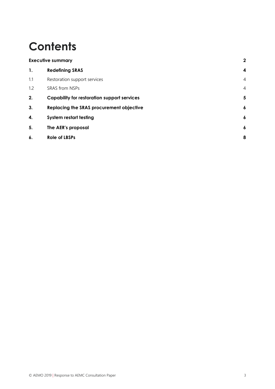## **Contents**

| <b>Executive summary</b> |                                                    | $\overline{2}$          |
|--------------------------|----------------------------------------------------|-------------------------|
| 1.                       | <b>Redefining SRAS</b>                             | $\overline{\mathbf{4}}$ |
| 1.1                      | Restoration support services                       | $\overline{4}$          |
| 1.2                      | <b>SRAS from NSPs</b>                              | $\overline{4}$          |
| 2.                       | <b>Capability for restoration support services</b> | 5                       |
| 3.                       | Replacing the SRAS procurement objective           | $\boldsymbol{6}$        |
| 4.                       | <b>System restart testing</b>                      | $\boldsymbol{6}$        |
| 5.                       | The AER's proposal                                 | $\boldsymbol{6}$        |
| 6.                       | <b>Role of LBSPs</b>                               | 8                       |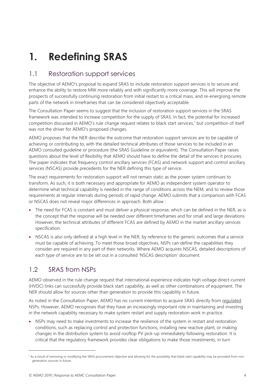## <span id="page-3-0"></span>**1. Redefining SRAS**

#### <span id="page-3-1"></span>1.1 Restoration support services

The objective of AEMO's proposal to expand SRAS to include restoration support services is to secure and enhance the ability to restore MW more reliably and with significantly more coverage. This will improve the prospects of successfully continuing restoration from initial restart to a critical mass, and re-energising remote parts of the network in timeframes that can be considered objectively acceptable.

The Consultation Paper seems to suggest that the inclusion of restoration support services in the SRAS framework was intended to increase competition for the supply of SRAS. In fact, the potential for increased competition discussed in AEMO's rule change request relates to black start services, [1](#page-3-3) but competition of itself was not the driver for AEMO's proposed changes.

AEMO proposes that the NER describe the outcome that restoration support services are to be capable of achieving or contributing to, with the detailed technical attributes of those services to be included in an AEMO consulted guideline or procedure (the SRAS Guideline or equivalent). The Consultation Paper raises questions about the level of flexibility that AEMO should have to define the detail of the services it procures. The paper indicates that frequency control ancillary services (FCAS) and network support and control ancillary services (NSCAS) provide precedents for the NER defining this type of service.

The exact requirements for restoration support will not remain static as the power system continues to transform. As such, it is both necessary and appropriate for AEMO as independent system operator to determine what technical capability is needed in the range of conditions across the NEM, and to review those requirements at regular intervals during periods of rapid change. AEMO submits that a comparison with FCAS or NSCAS does not reveal major differences in approach. Both allow :

- The need for FCAS is constant and must deliver a physical response, which can be defined in the NER, as is the concept that the response will be needed over different timeframes and for small and large deviations. However, the technical attributes of different FCAS are defined by AEMO in the market ancillary services specification.
- NSCAS is also only defined at a high level in the NER, by reference to the generic outcomes that a service must be capable of achieving. To meet those broad objectives, NSPs can define the capabilities they consider are required in any part of their networks. Where AEMO acquires NSCAS, detailed descriptions of each type of service are to be set out in a consulted 'NSCAS description' document.

#### <span id="page-3-2"></span>1.2 SRAS from NSPs

AEMO observed in the rule change request that international experience indicates high voltage direct-current (HVDC) links can successfully provide black start capability, as well as other combinations of equipment. The NER should allow for sources other than generation to provide this capability in future.

As noted in the Consultation Paper, AEMO has no current intention to acquire SRAS directly from regulated NSPs. However, AEMO recognises that they have an increasingly important role in maintaining and investing in the network capability necessary to make system restart and supply restoration work in practice.

• NSPs may need to make investments to increase the resilience of the system in restart and restoration conditions, such as replacing control and protection functions, installing new reactive plant, or making changes in the distribution system to avoid rooftop PV pick-up immediately following restoration. It is critical that the regulatory framework provides clear obligations to make those investments, in turn

 $\overline{a}$ 

<span id="page-3-3"></span><sup>&</sup>lt;sup>1</sup> As a result of removing or modifying the SRAS procurement objective and allowing for the possibility that black start capability may be provided from nongeneration sources in future.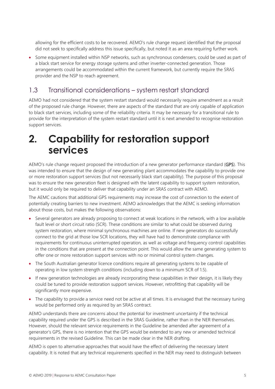allowing for the efficient costs to be recovered. AEMO's rule change request identified that the proposal did not seek to specifically address this issue specifically, but noted it as an area requiring further work.

• Some equipment installed within NSP networks, such as synchronous condensers, could be used as part of a black start service for energy storage systems and other inverter-connected generation. Those arrangements could be accommodated within the current framework, but currently require the SRAS provider and the NSP to reach agreement.

#### 1.3 Transitional considerations – system restart standard

AEMO had not considered that the system restart standard would necessarily require amendment as a result of the proposed rule change. However, there are aspects of the standard that are only capable of application to black start services, including some of the reliability criteria. It may be necessary for a transitional rule to provide for the interpretation of the system restart standard until it is next amended to recognise restoration support services.

### <span id="page-4-0"></span>**2. Capability for restoration support services**

AEMO's rule change request proposed the introduction of a new generator performance standard (GPS). This was intended to ensure that the design of new generating plant accommodates the capability to provide one or more restoration support services (but not necessarily black start capability). The purpose of this proposal was to ensure the new generation fleet is designed with the latent capability to support system restoration, but it would only be required to deliver that capability under an SRAS contract with AEMO.

The AEMC cautions that additional GPS requirements may increase the cost of connection to the extent of potentially creating barriers to new investment. AEMO acknowledges that the AEMC is seeking information about those costs, but makes the following observations:

- Several generators are already proposing to connect at weak locations in the network, with a low available fault level or short circuit ratio (SCR). These conditions are similar to what could be observed during system restoration, where minimal synchronous machines are online. If new generators do successfully connect to the grid at those low SCR locations, they will have had to demonstrate compliance with requirements for continuous uninterrupted operation, as well as voltage and frequency control capabilities in the conditions that are present at the connection point. This would allow the same generating system to offer one or more restoration support services with no or minimal control system changes.
- The South Australian generator licence conditions require all generating systems to be capable of operating in low system strength conditions (including down to a minimum SCR of 1.5).
- If new generation technologies are already incorporating these capabilities in their design, it is likely they could be tuned to provide restoration support services. However, retrofitting that capability will be significantly more expensive.
- The capability to provide a service need not be active at all times. It is envisaged that the necessary tuning would be performed only as required by an SRAS contract.

AEMO understands there are concerns about the potential for investment uncertainty if the technical capability required under the GPS is described in the SRAS Guideline, rather than in the NER themselves. However, should the relevant service requirements in the Guideline be amended after agreement of a generator's GPS, there is no intention that the GPS would be extended to any new or amended technical requirements in the revised Guideline. This can be made clear in the NER drafting.

AEMO is open to alternative approaches that would have the effect of delivering the necessary latent capability. It is noted that any technical requirements specified in the NER may need to distinguish between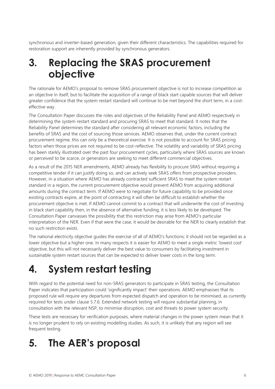synchronous and inverter-based generation, given their different characteristics. The capabilities required for restoration support are inherently provided by synchronous generators.

## <span id="page-5-0"></span>**3. Replacing the SRAS procurement objective**

The rationale for AEMO's proposal to remove SRAS procurement objective is not to increase competition as an objective in itself, but to facilitate the acquisition of a range of black start capable sources that will deliver greater confidence that the system restart standard will continue to be met beyond the short term, in a costeffective way.

The Consultation Paper discusses the roles and objectives of the Reliability Panel and AEMO respectively in determining the system restart standard and procuring SRAS to meet that standard. It notes that the Reliability Panel determines the standard after considering all relevant economic factors, including the benefits of SRAS and the cost of sourcing those services. AEMO observes that, under the current contract procurement regime, this can only be a theoretical exercise. It is not possible to account for SRAS pricing factors when those prices are not required to be cost-reflective. The volatility and variability of SRAS pricing has been starkly illustrated over the past four procurement cycles, particularly where SRAS sources are known or perceived to be scarce, or generators are seeking to meet different commercial objectives.

As a result of the 2015 NER amendments, AEMO already has flexibility to procure SRAS without requiring a competitive tender if it can justify doing so, and can actively seek SRAS offers from prospective providers. However, in a situation where AEMO has already contracted sufficient SRAS to meet the system restart standard in a region, the current procurement objective would prevent AEMO from acquiring additional amounts during the contract term. If AEMO were to negotiate for future capability to be provided once existing contracts expire, at the point of contracting it will often be difficult to establish whether the procurement objective is met. If AEMO cannot commit to a contract that will underwrite the cost of investing in black start capability then, in the absence of alternative funding, it is less likely to be developed. The Consultation Paper canvasses the possibility that this restriction may arise from AEMO's particular interpretation of the NER. Even if that were the case, it would be desirable for the NER to clearly establish that no such restriction exists.

The national electricity objective guides the exercise of all of AEMO's functions; it should not be regarded as a lower objective but a higher one. In many respects it is easier for AEMO to meet a single metric 'lowest cost' objective, but this will not necessarily deliver the best value to consumers by facilitating investment in sustainable system restart sources that can be expected to deliver lower costs in the long term.

## <span id="page-5-1"></span>**4. System restart testing**

With regard to the potential need for non-SRAS generators to participate in SRAS testing, the Consultation Paper indicates that participation could 'significantly impact' their operations. AEMO emphasises that its proposed rule will require any departures from expected dispatch and operation to be minimised, as currently required for tests under clause 5.7.6. Extended network testing will require substantial planning, in consultation with the relevant NSP, to minimise disruption, cost and threats to power system security.

These tests are necessary for verification purposes, where material changes in the power system mean that it is no longer prudent to rely on existing modelling studies. As such, it is unlikely that any region will see frequent testing.

## <span id="page-5-2"></span>**5. The AER's proposal**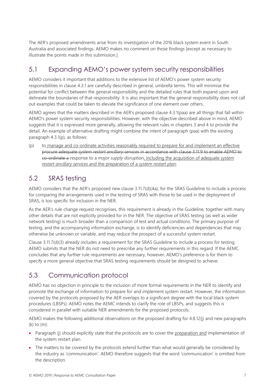The AER's proposed amendments arise from its investigation of the 2016 black system event in South Australia and associated findings. AEMO makes no comment on those findings [except as necessary to illustrate the points made in this submission.]

#### 5.1 Expanding AEMO's power system security responsibilities

AEMO considers it important that additions to the extensive list of AEMO's power system security responsibilities in clause 4.3.1 are carefully described in general, umbrella terms. This will minimise the potential for conflict between the general responsibility and the detailed rules that both expand upon and delineate the boundaries of that responsibility. It is also important that the general responsibility does not call out examples that could be taken to elevate the significance of one element over others.

AEMO agrees that the matters described in the AER's proposed clause 4.3.1(paa) are all things that fall within AEMO's power system security responsibilities. However, with the objective described above in mind, AEMO suggests that it is expressed more generally, allowing the relevant rules in chapters 3 and 4 to provide the detail. An example of alternative drafting might combine the intent of paragraph (paa) with the existing paragraph 4.3.1(p), as follows:

(p) to manage and co-ordinate activities reasonably required to prepare for and implement an effective procure adequate *system restart ancillary services* in accordance with clause 3.11.9 to enable *AEMO* to co-ordinate a response to a *major supply disruption*, including the acquisition of adequate *system restart ancillary services* and the preparation of a *system restart plan*;

#### 5.2 SRAS testing

AEMO considers that the AER's proposed new clause 3.11.7(d)(4a), for the SRAS Guideline to include a process for comparing the arrangements used in the testing of SRAS with those to be used in the deployment of SRAS, is too specific for inclusion in the NER.

As the AER's rule change request recognises, this requirement is already in the Guideline, together with many other details that are not explicitly provided for in the NER. The objective of SRAS testing (as well as wider network testing) is much broader than a comparison of test and actual conditions. The primary purpose of testing, and the accompanying information exchange, is to identify deficiencies and dependencies that may otherwise be unknown or variable, and may reduce the prospect of a successful system restart.

Clause 3.11.7(d)(3) already includes a requirement for the SRAS Guideline to include a process for testing. AEMO submits that the NER do not need to prescribe any further requirements in this regard. If the AEMC concludes that any further rule requirements are necessary, however, AEMO's preference is for them to specify a more general objective that SRAS testing requirements should be designed to achieve.

#### 5.3 Communication protocol

AEMO has no objection in principle to the inclusion of more formal requirements in the NER to identify and promote the exchange of information to prepare for and implement system restart. However, the information covered by the protocols proposed by the AER overlaps to a significant degree with the local black system procedures (LBSPs). AEMO notes the AEMC intends to clarify the role of LBSPs, and suggests this is considered in parallel with suitable NER amendments for the proposed protocols.

AEMO makes the following additional observations on the proposed drafting for 4.8.12(j) and new paragraphs (k) to (m):

- Paragraph (j) should explicitly state that the protocols are to cover the preparation and implementation of the system restart plan.
- The matters to be covered by the protocols extend further than what would generally be considered by the industry as 'communication'. AEMO therefore suggests that the word 'communication' is omitted from the description.